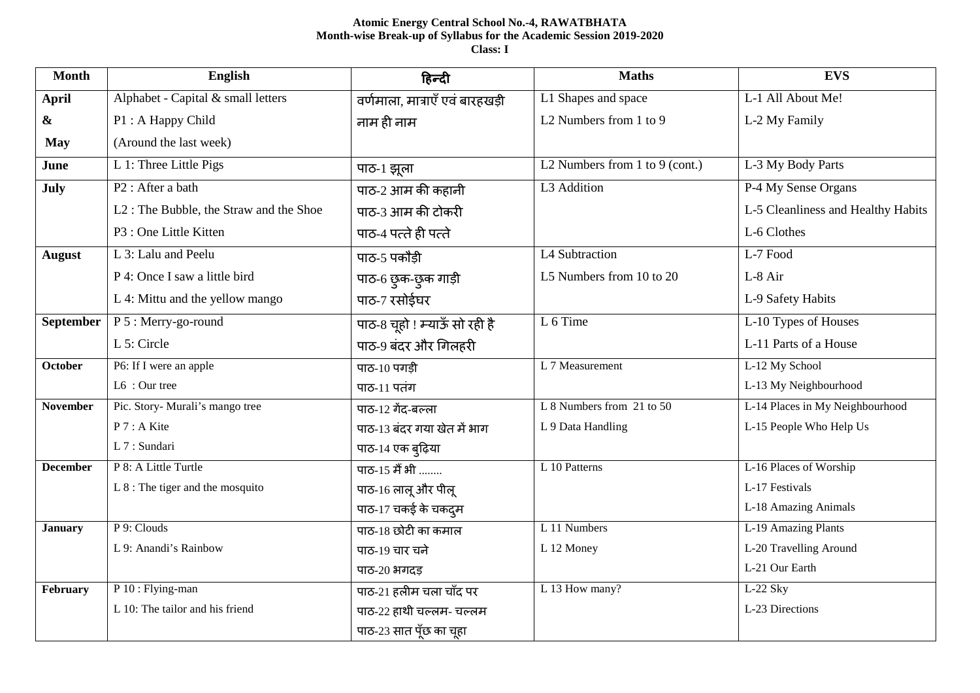# **Atomic Energy Central School No.-4, RAWATBHATA Month-wise Break-up of Syllabus for the Academic Session 2019-2020 Class: I**

| <b>Month</b>     | English                                | हिन्दी                          | <b>Maths</b>                   | <b>EVS</b>                         |
|------------------|----------------------------------------|---------------------------------|--------------------------------|------------------------------------|
| April            | Alphabet - Capital & small letters     | वर्णमाला, मात्राएँ एवं बारहखड़ी | L1 Shapes and space            | L-1 All About Me!                  |
| &                | P1: A Happy Child                      | नाम ही नाम                      | L2 Numbers from 1 to 9         | L-2 My Family                      |
| <b>May</b>       | (Around the last week)                 |                                 |                                |                                    |
| June             | L 1: Three Little Pigs                 | पाठ-1 झूला                      | L2 Numbers from 1 to 9 (cont.) | L-3 My Body Parts                  |
| July             | P <sub>2</sub> : After a bath          | पाठ-2 आम की कहानी               | L3 Addition                    | P-4 My Sense Organs                |
|                  | L2: The Bubble, the Straw and the Shoe | पाठ-3 आम की टोकरी               |                                | L-5 Cleanliness and Healthy Habits |
|                  | P3 : One Little Kitten                 | पाठ-4 पत्ते ही पत्ते            |                                | L-6 Clothes                        |
| <b>August</b>    | L 3: Lalu and Peelu                    | पाठ-5 पकौडी                     | L4 Subtraction                 | L-7 Food                           |
|                  | P 4: Once I saw a little bird          | पाठ-6 छुक-छुक गाड़ी             | L5 Numbers from 10 to 20       | L-8 Air                            |
|                  | L 4: Mittu and the yellow mango        | पाठ-7 रसोईघर                    |                                | L-9 Safety Habits                  |
| <b>September</b> | P 5 : Merry-go-round                   | पाठ-8 चूहो ! म्याऊँ सो रही है   | L 6 Time                       | L-10 Types of Houses               |
|                  | L 5: Circle                            | पाठ-9 बंदर और गिलहरी            |                                | L-11 Parts of a House              |
| <b>October</b>   | P6: If I were an apple                 | पाठ-10 पगड़ी                    | L 7 Measurement                | L-12 My School                     |
|                  | L6 : Our tree                          | पाठ-11 पतंग                     |                                | L-13 My Neighbourhood              |
| <b>November</b>  | Pic. Story- Murali's mango tree        | पाठ-12 गेंद-बल्ला               | L 8 Numbers from 21 to 50      | L-14 Places in My Neighbourhood    |
|                  | P 7 : A Kite                           | पाठ-13 बंदर गया खेत में भाग     | L 9 Data Handling              | L-15 People Who Help Us            |
|                  | L 7 : Sundari                          | पाठ-14 एक बुढ़िया               |                                |                                    |
| <b>December</b>  | P 8: A Little Turtle                   | पाठ-15 मैं भी                   | L 10 Patterns                  | L-16 Places of Worship             |
|                  | $L 8$ : The tiger and the mosquito     | पाठ-16 लालू और पीलू             |                                | L-17 Festivals                     |
|                  |                                        | पाठ-17 चकई के चकदुम             |                                | L-18 Amazing Animals               |
| <b>January</b>   | P 9: Clouds                            | पाठ-18 छोटी का कमाल             | L 11 Numbers                   | L-19 Amazing Plants                |
|                  | L 9: Anandi's Rainbow                  | पाठ-19 चार चने                  | L 12 Money                     | L-20 Travelling Around             |
|                  |                                        | पाठ-20 भगदड़                    |                                | L-21 Our Earth                     |
| February         | P 10 : Flying-man                      | पाठ-21 हलीम चला चाँद पर         | L 13 How many?                 | L-22 Sky                           |
|                  | L 10: The tailor and his friend        | पाठ-22 हाथी चल्लम- चल्लम        |                                | L-23 Directions                    |
|                  |                                        | पाठ-23 सात पूँछ का चूहा         |                                |                                    |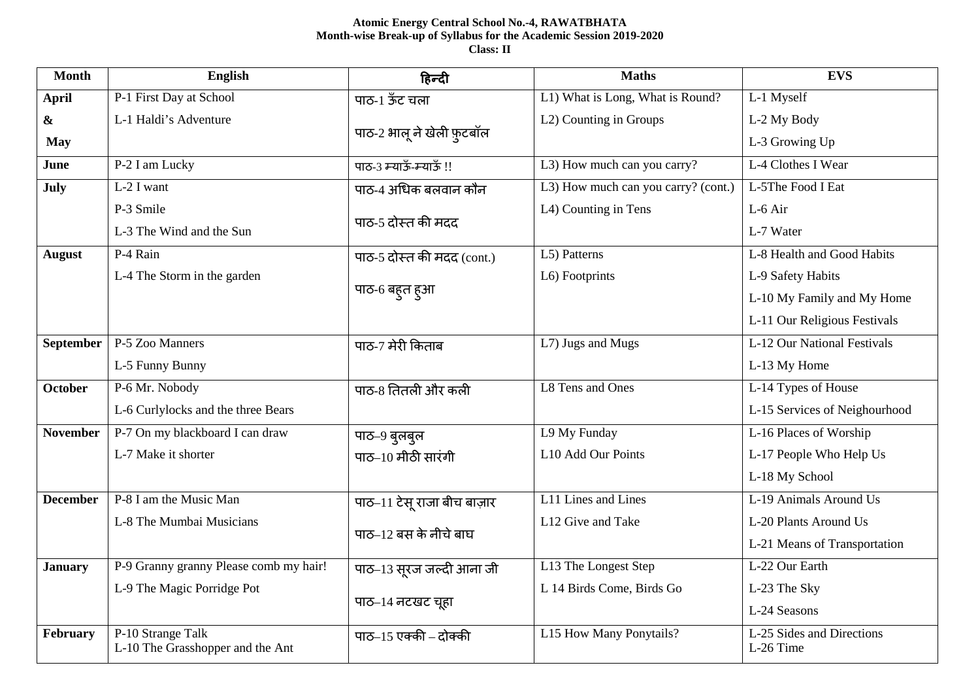# **Atomic Energy Central School No.-4, RAWATBHATA Month-wise Break-up of Syllabus for the Academic Session 2019-2020 Class: II**

| <b>Month</b>      | <b>English</b>                         | हिन्दी                      | <b>Maths</b>                        | <b>EVS</b>                             |
|-------------------|----------------------------------------|-----------------------------|-------------------------------------|----------------------------------------|
| April             | P-1 First Day at School                | पाठ-1 ऊँट चला               | L1) What is Long, What is Round?    | L-1 Myself                             |
| $\boldsymbol{\&}$ | L-1 Haldi's Adventure                  |                             | L2) Counting in Groups              | L-2 My Body                            |
| <b>May</b>        |                                        | पाठ-2 भालू ने खेली फ़ुटबॉल  |                                     | L-3 Growing Up                         |
| June              | P-2 I am Lucky                         | पाठ-3 म्याऊँ-म्याऊँ !!      | L3) How much can you carry?         | L-4 Clothes I Wear                     |
| July              | $L-2$ I want                           | पाठ-4 अधिक बलवान कौन        | L3) How much can you carry? (cont.) | L-5The Food I Eat                      |
|                   | P-3 Smile                              | पाठ-5 दोस्त की मदद          | L4) Counting in Tens                | L-6 Air                                |
|                   | L-3 The Wind and the Sun               |                             |                                     | L-7 Water                              |
| <b>August</b>     | P-4 Rain                               | पाठ-5 दोस्त की मदद (cont.)  | L5) Patterns                        | L-8 Health and Good Habits             |
|                   | L-4 The Storm in the garden            |                             | L6) Footprints                      | L-9 Safety Habits                      |
|                   |                                        | पाठ-6 बहुत हुआ              |                                     | L-10 My Family and My Home             |
|                   |                                        |                             |                                     | L-11 Our Religious Festivals           |
| <b>September</b>  | P-5 Zoo Manners                        | पाठ-7 मेरी किताब            | L7) Jugs and Mugs                   | L-12 Our National Festivals            |
|                   | L-5 Funny Bunny                        |                             |                                     | L-13 My Home                           |
| <b>October</b>    | P-6 Mr. Nobody                         | पाठ-8 तितली और कली          | L8 Tens and Ones                    | L-14 Types of House                    |
|                   | L-6 Curlylocks and the three Bears     |                             |                                     | L-15 Services of Neighourhood          |
| <b>November</b>   | P-7 On my blackboard I can draw        | पाठ-9 बुलबुल                | L9 My Funday                        | L-16 Places of Worship                 |
|                   | L-7 Make it shorter                    | पाठ $-10$ मीठी सारंगी       | L10 Add Our Points                  | L-17 People Who Help Us                |
|                   |                                        |                             |                                     | L-18 My School                         |
| <b>December</b>   | P-8 I am the Music Man                 | पाठ-11 टेसू राजा बीच बाज़ार | L11 Lines and Lines                 | L-19 Animals Around Us                 |
|                   | L-8 The Mumbai Musicians               | पाठ-12 बस के नीचे बाघ       | L12 Give and Take                   | L-20 Plants Around Us                  |
|                   |                                        |                             |                                     | L-21 Means of Transportation           |
| <b>January</b>    | P-9 Granny granny Please comb my hair! | पाठ-13 सूरज जल्दी आना जी    | L13 The Longest Step                | L-22 Our Earth                         |
|                   | L-9 The Magic Porridge Pot             |                             | L 14 Birds Come, Birds Go           | L-23 The Sky                           |
|                   |                                        | पाठ-14 नटखट चूहा            |                                     | L-24 Seasons                           |
| February          | P-10 Strange Talk                      | पाठ $-15$ एक्की – दोक्की    | L15 How Many Ponytails?             | L-25 Sides and Directions<br>L-26 Time |
|                   | L-10 The Grasshopper and the Ant       |                             |                                     |                                        |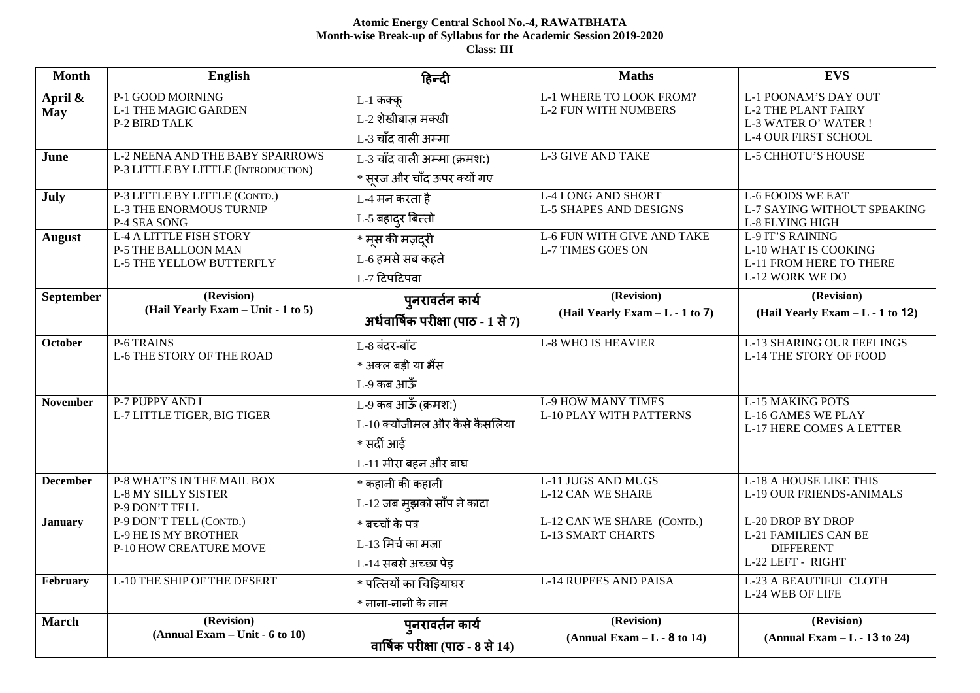# **Atomic Energy Central School No.-4, RAWATBHATA Month-wise Break-up of Syllabus for the Academic Session 2019-2020 Class: III**

| <b>Month</b>          | English                                                                           | हिन्दी                                                                                      | <b>Maths</b>                                                  | <b>EVS</b>                                                                                                |
|-----------------------|-----------------------------------------------------------------------------------|---------------------------------------------------------------------------------------------|---------------------------------------------------------------|-----------------------------------------------------------------------------------------------------------|
| April &<br><b>May</b> | P-1 GOOD MORNING<br><b>L-1 THE MAGIC GARDEN</b><br>P-2 BIRD TALK                  | L-1 कक्कू<br>L-2 शेखीबाज़ मक्खी<br>L-3 चाँद वाली अम्मा                                      | L-1 WHERE TO LOOK FROM?<br><b>L-2 FUN WITH NUMBERS</b>        | L-1 POONAM'S DAY OUT<br><b>L-2 THE PLANT FAIRY</b><br>L-3 WATER O' WATER !<br><b>L-4 OUR FIRST SCHOOL</b> |
| June                  | <b>L-2 NEENA AND THE BABY SPARROWS</b><br>P-3 LITTLE BY LITTLE (INTRODUCTION)     | L-3 चाँद वाली अम्मा (क्रमश:)<br>* सूरज और चाँद ऊपर क्यों गए                                 | <b>L-3 GIVE AND TAKE</b>                                      | <b>L-5 CHHOTU'S HOUSE</b>                                                                                 |
| July                  | P-3 LITTLE BY LITTLE (CONTD.)<br><b>L-3 THE ENORMOUS TURNIP</b><br>P-4 SEA SONG   | L-4 मन करता है<br>L-5 बहाद् <b>र</b> बित्तो                                                 | <b>L-4 LONG AND SHORT</b><br><b>L-5 SHAPES AND DESIGNS</b>    | <b>L-6 FOODS WE EAT</b><br>L-7 SAYING WITHOUT SPEAKING<br>L-8 FLYING HIGH                                 |
| <b>August</b>         | <b>L-4 A LITTLE FISH STORY</b><br>P-5 THE BALLOON MAN<br>L-5 THE YELLOW BUTTERFLY | —<br>* मूस की मज़दूरी<br>L-6 हमसे सब कहते<br>L-7 टिपटिपवा                                   | <b>L-6 FUN WITH GIVE AND TAKE</b><br><b>L-7 TIMES GOES ON</b> | L-9 IT'S RAINING<br><b>L-10 WHAT IS COOKING</b><br>L-11 FROM HERE TO THERE<br>L-12 WORK WE DO             |
| September             | (Revision)<br>(Hail Yearly Exam - Unit - 1 to 5)                                  | पुनरावर्तन कार्य<br>अर्धवार्षिक परीक्षा (पाठ - 1 से 7)                                      | (Revision)<br>(Hail Yearly Exam - L - 1 to 7)                 | (Revision)<br>(Hail Yearly Exam - L - 1 to 12)                                                            |
| <b>October</b>        | P-6 TRAINS<br><b>L-6 THE STORY OF THE ROAD</b>                                    | L-8 बंदर-बाँट<br>* अक्ल बडी या भैंस<br>L-9 कब आऊँ                                           | <b>L-8 WHO IS HEAVIER</b>                                     | <b>L-13 SHARING OUR FEELINGS</b><br>L-14 THE STORY OF FOOD                                                |
| <b>November</b>       | P-7 PUPPY AND I<br>L-7 LITTLE TIGER, BIG TIGER                                    | L-9 कब आऊँ (क्रमश:)<br>L-10 क्योंजीमल और कैसे कैसलिया<br>* सर्दी आई<br>L-11 मीरा बहन और बाघ | <b>L-9 HOW MANY TIMES</b><br><b>L-10 PLAY WITH PATTERNS</b>   | <b>L-15 MAKING POTS</b><br>L-16 GAMES WE PLAY<br>L-17 HERE COMES A LETTER                                 |
| <b>December</b>       | P-8 WHAT'S IN THE MAIL BOX<br><b>L-8 MY SILLY SISTER</b><br>P-9 DON'T TELL        | * कहानी की कहानी<br>L-12 जब मुझको साँप ने काटा                                              | <b>L-11 JUGS AND MUGS</b><br><b>L-12 CAN WE SHARE</b>         | <b>L-18 A HOUSE LIKE THIS</b><br><b>L-19 OUR FRIENDS-ANIMALS</b>                                          |
| <b>January</b>        | P-9 DON'T TELL (CONTD.)<br><b>L-9 HE IS MY BROTHER</b><br>P-10 HOW CREATURE MOVE  | * बच्चों के पत्र<br>L-13 मिर्च का मज़ा<br>L-14 सबसे अच्छा पेड़                              | L-12 CAN WE SHARE (CONTD.)<br><b>L-13 SMART CHARTS</b>        | <b>L-20 DROP BY DROP</b><br><b>L-21 FAMILIES CAN BE</b><br><b>DIFFERENT</b><br>L-22 LEFT - RIGHT          |
| February              | L-10 THE SHIP OF THE DESERT                                                       | * पत्तियों का चिड़ियाघर<br>* नाना-नानी के नाम                                               | <b>L-14 RUPEES AND PAISA</b>                                  | L-23 A BEAUTIFUL CLOTH<br><b>L-24 WEB OF LIFE</b>                                                         |
| <b>March</b>          | (Revision)<br>$(Annual Exam - Unit - 6 to 10)$                                    | पुनरावर्तन कार्य<br>वार्षिक परीक्षा (पाठ - 8 से 14)                                         | (Revision)<br>$(Annual Exam - L - 8 to 14)$                   | (Revision)<br>$(Annual Exam - L - 13 to 24)$                                                              |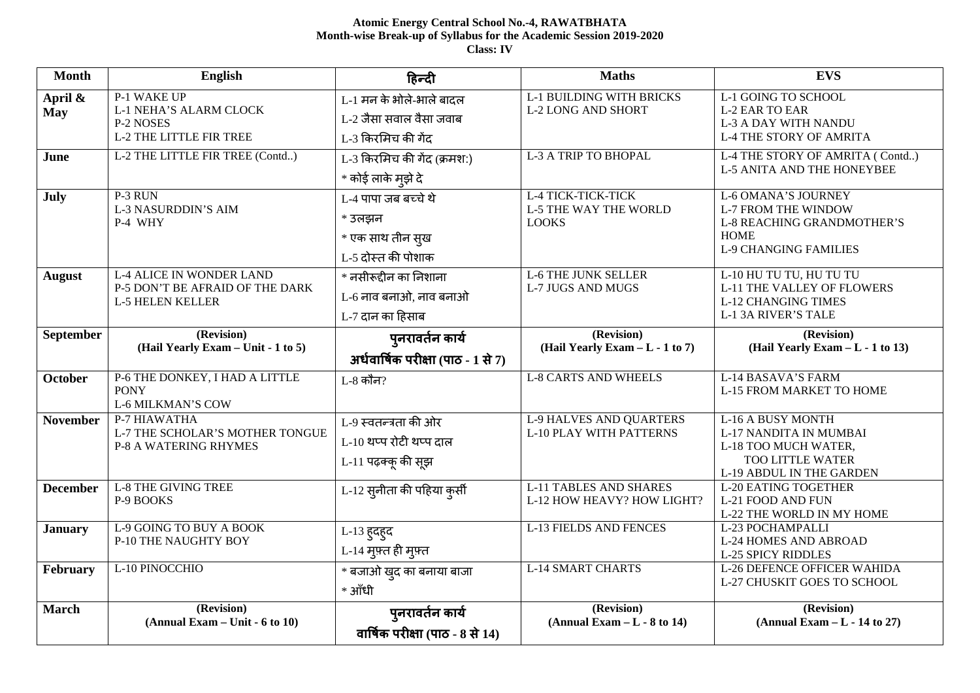# **Atomic Energy Central School No.-4, RAWATBHATA Month-wise Break-up of Syllabus for the Academic Session 2019-2020 Class: IV**

| <b>Month</b>          | <b>English</b>                                                                                | हिन्दी                                                                    | <b>Maths</b>                                                       | <b>EVS</b>                                                                                                                                   |
|-----------------------|-----------------------------------------------------------------------------------------------|---------------------------------------------------------------------------|--------------------------------------------------------------------|----------------------------------------------------------------------------------------------------------------------------------------------|
| April &<br><b>May</b> | P-1 WAKE UP<br>L-1 NEHA'S ALARM CLOCK<br>P-2 NOSES<br><b>L-2 THE LITTLE FIR TREE</b>          | L-1 मन के भोले-भाले बादल<br>L-2 जैसा सवाल वैसा जवाब<br>L-3 किरमिच की गेंद | <b>L-1 BUILDING WITH BRICKS</b><br><b>L-2 LONG AND SHORT</b>       | L-1 GOING TO SCHOOL<br><b>L-2 EAR TO EAR</b><br><b>L-3 A DAY WITH NANDU</b><br><b>L-4 THE STORY OF AMRITA</b>                                |
| June                  | L-2 THE LITTLE FIR TREE (Contd)                                                               | L-3 किरमिच की गेंद (क्रमश:)<br>* कोई लाके मुझे दे                         | L-3 A TRIP TO BHOPAL                                               | L-4 THE STORY OF AMRITA (Contd)<br><b>L-5 ANITA AND THE HONEYBEE</b>                                                                         |
| July                  | P-3 RUN<br><b>L-3 NASURDDIN'S AIM</b><br>P-4 WHY                                              | L-4 पापा जब बच्चे थे<br>* उलझन<br>* एक साथ तीन स्ख<br>L-5 दोस्त की पोशाक  | L-4 TICK-TICK-TICK<br><b>L-5 THE WAY THE WORLD</b><br><b>LOOKS</b> | <b>L-6 OMANA'S JOURNEY</b><br><b>L-7 FROM THE WINDOW</b><br><b>L-8 REACHING GRANDMOTHER'S</b><br><b>HOME</b><br><b>L-9 CHANGING FAMILIES</b> |
| <b>August</b>         | <b>L-4 ALICE IN WONDER LAND</b><br>P-5 DON'T BE AFRAID OF THE DARK<br><b>L-5 HELEN KELLER</b> | * नसीरूद्दीन का निशाना<br>L-6 नाव बनाओ, नाव बनाओ<br>L-7 दान का हिसाब      | <b>L-6 THE JUNK SELLER</b><br><b>L-7 JUGS AND MUGS</b>             | L-10 HU TU TU, HU TU TU<br><b>L-11 THE VALLEY OF FLOWERS</b><br><b>L-12 CHANGING TIMES</b><br><b>L-1 3A RIVER'S TALE</b>                     |
| September             | (Revision)<br>(Hail Yearly Exam - Unit - 1 to 5)                                              | पुनरावर्तन कार्य<br>अर्धवार्षिक परीक्षा (पाठ - 1 से 7)                    | (Revision)<br>(Hail Yearly Exam - L - 1 to 7)                      | (Revision)<br>(Hail Yearly Exam - L - 1 to 13)                                                                                               |
| October               | P-6 THE DONKEY, I HAD A LITTLE<br><b>PONY</b><br><b>L-6 MILKMAN'S COW</b>                     | L-8 कौन?                                                                  | <b>L-8 CARTS AND WHEELS</b>                                        | L-14 BASAVA'S FARM<br><b>L-15 FROM MARKET TO HOME</b>                                                                                        |
| <b>November</b>       | P-7 HIAWATHA<br>L-7 THE SCHOLAR'S MOTHER TONGUE<br><b>P-8 A WATERING RHYMES</b>               | L-9 स्वतन्त्रता की ओर<br>L-10 थप्प रोटी थप्प दाल<br>L-11 पढ़क्कू की सूझ   | <b>L-9 HALVES AND QUARTERS</b><br><b>L-10 PLAY WITH PATTERNS</b>   | L-16 A BUSY MONTH<br>L-17 NANDITA IN MUMBAI<br>L-18 TOO MUCH WATER,<br><b>TOO LITTLE WATER</b><br>L-19 ABDUL IN THE GARDEN                   |
| <b>December</b>       | <b>L-8 THE GIVING TREE</b><br>P-9 BOOKS                                                       | L-12 सुनीता की पहिया कुर्सी                                               | <b>L-11 TABLES AND SHARES</b><br>L-12 HOW HEAVY? HOW LIGHT?        | <b>L-20 EATING TOGETHER</b><br>L-21 FOOD AND FUN<br>L-22 THE WORLD IN MY HOME                                                                |
| <b>January</b>        | L-9 GOING TO BUY A BOOK<br>P-10 THE NAUGHTY BOY                                               | L-13 हुदहुद<br>L-14 मुफ़्त ही मुफ़्त                                      | <b>L-13 FIELDS AND FENCES</b>                                      | L-23 POCHAMPALLI<br><b>L-24 HOMES AND ABROAD</b><br><b>L-25 SPICY RIDDLES</b>                                                                |
| February              | L-10 PINOCCHIO                                                                                | * बजाओ खुद का बनाया बाजा<br>* आँधी                                        | <b>L-14 SMART CHARTS</b>                                           | <b>L-26 DEFENCE OFFICER WAHIDA</b><br>L-27 CHUSKIT GOES TO SCHOOL                                                                            |
| <b>March</b>          | (Revision)<br>$(Annual Exam - Unit - 6 to 10)$                                                | पुनरावर्तन कार्य<br>वार्षिक परीक्षा (पाठ - $8$ से $14$ )                  | (Revision)<br>$(Annual Exam - L - 8 to 14)$                        | (Revision)<br>$(Annual Exam - L - 14 to 27)$                                                                                                 |